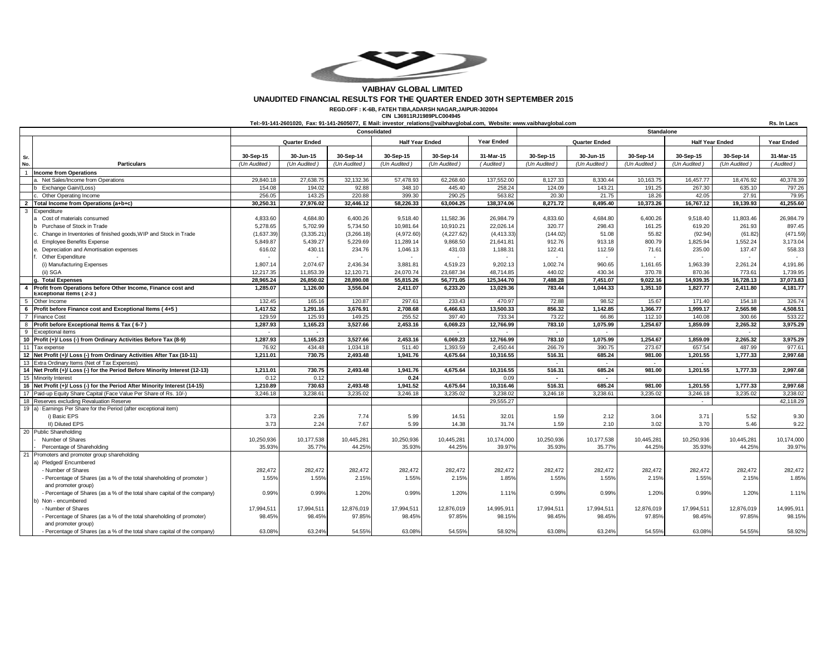

## **VAIBHAV GLOBAL LIMITED UNAUDITED FINANCIAL RESULTS FOR THE QUARTER ENDED 30TH SEPTEMBER 2015**

**REGD.OFF : K-6B, FATEH TIBA,ADARSH NAGAR,JAIPUR-302004 CIN L36911RJ1989PLC004945**

**Tel:-91-141-2601020, Fax: 91-141-2605077, E Mail: [investor\\_relations@vaibhavglobal.com,](mailto:investor_relations@vaibhavglobal.com,) Website: [www.vaibhavglobal.com](http://www.vaibhavglobal.com)**

**Rs. In Lacs**

|              |                                                                                         | Consolidated                                   |              |              |             | Standalone        |                      |                          |              |              |                                      |              |            |
|--------------|-----------------------------------------------------------------------------------------|------------------------------------------------|--------------|--------------|-------------|-------------------|----------------------|--------------------------|--------------|--------------|--------------------------------------|--------------|------------|
|              |                                                                                         | <b>Quarter Ended</b><br><b>Half Year Ended</b> |              |              |             | <b>Year Ended</b> | <b>Quarter Ended</b> |                          |              |              | <b>Half Year Ended</b><br>Year Ended |              |            |
| Sr.          |                                                                                         | 30-Sep-15                                      | 30-Jun-15    | 30-Sep-14    | 30-Sep-15   | 30-Sep-14         | 31-Mar-15            | 30-Sep-15                | 30-Jun-15    | 30-Sep-14    | 30-Sep-15                            | 30-Sep-14    | 31-Mar-15  |
| No.          | <b>Particulars</b>                                                                      | (Un Audited                                    | (Un Audited) | (Un Audited) | (Un Audited | (Un Audited       | (Audited)            | (Un Audited)             | (Un Audited) | (Un Audited) | (Un Audited)                         | (Un Audited) | (Audited)  |
|              | <b>Income from Operations</b>                                                           |                                                |              |              |             |                   |                      |                          |              |              |                                      |              |            |
|              | a. Net Sales/Income from Operations                                                     | 29,840.18                                      | 27,638.75    | 32,132.36    | 57,478.93   | 62,268.60         | 137,552.00           | 8,127.33                 | 8,330.44     | 10,163.75    | 16,457.77                            | 18,476.92    | 40,378.39  |
|              | b Exchange Gain/(Loss)                                                                  | 154.08                                         | 194.02       | 92.88        | 348.10      | 445.40            | 258.24               | 124.09                   | 143.21       | 191.25       | 267.30                               | 635.10       | 797.26     |
|              | c. Other Operating Income                                                               | 256.05                                         | 143.25       | 220.88       | 399.30      | 290.25            | 563.82               | 20.30                    | 21.75        | 18.26        | 42.05                                | 27.91        | 79.95      |
|              | 2 Total Income from Operations (a+b+c)                                                  | 30,250.31                                      | 27,976.02    | 32,446.12    | 58,226.33   | 63.004.25         | 138,374.06           | 8.271.72                 | 8,495.40     | 10,373.26    | 16,767.12                            | 19,139.93    | 41,255.60  |
| $\mathbf{3}$ | Expenditure                                                                             |                                                |              |              |             |                   |                      |                          |              |              |                                      |              |            |
|              | a Cost of materials consumed                                                            | 4,833.60                                       | 4,684.80     | 6,400.26     | 9,518.40    | 11,582.36         | 26,984.79            | 4,833.60                 | 4,684.80     | 6,400.26     | 9,518.40                             | 11,803.46    | 26,984.79  |
|              | b Purchase of Stock in Trade                                                            | 5,278.65                                       | 5,702.99     | 5,734.50     | 10,981.64   | 10,910.21         | 22,026.14            | 320.77                   | 298.43       | 161.25       | 619.20                               | 261.93       | 897.45     |
|              | Change in Inventories of finished goods, WIP and Stock in Trade                         | (1,637.39)                                     | (3,335.21)   | (3,266.18)   | (4,972.60)  | (4,227.62)        | (4, 413.33)          | (144.02)                 | 51.08        | 55.82        | (92.94)                              | (61.82)      | (471.59)   |
|              | <b>Employee Benefits Expense</b>                                                        | 5,849.87                                       | 5,439.27     | 5,229.69     | 11,289.14   | 9,868.50          | 21,641.81            | 912.76                   | 913.18       | 800.79       | 1,825.94                             | 1,552.24     | 3,173.04   |
|              | Depreciation and Amortisation expenses                                                  | 616.02                                         | 430.11       | 234.76       | 1,046.13    | 431.03            | 1,188.31             | 122.41                   | 112.59       | 71.61        | 235.00                               | 137.47       | 558.33     |
|              | Other Expenditure                                                                       |                                                |              |              |             |                   |                      |                          |              |              |                                      |              |            |
|              | (i) Manufacturing Expenses                                                              | 1,807.14                                       | 2,074.67     | 2,436.34     | 3,881.81    | 4,519.23          | 9,202.13             | 1,002.74                 | 960.65       | 1,161.65     | 1,963.39                             | 2,261.24     | 4,191.86   |
|              | (ii) SGA                                                                                | 12,217.35                                      | 11,853.39    | 12,120.71    | 24,070.74   | 23,687.34         | 48,714.85            | 440.02                   | 430.34       | 370.78       | 870.36                               | 773.61       | 1,739.95   |
|              | <b>Total Expenses</b>                                                                   | 28,965.24                                      | 26,850.02    | 28,890.08    | 55,815.26   | 56,771.05         | 125,344.70           | 7,488.28                 | 7,451.07     | 9,022.16     | 14.939.35                            | 16,728.13    | 37,073.83  |
| -4           | Profit from Operations before Other Income, Finance cost and<br>Exceptional Items (2-3) | 1,285.07                                       | 1,126.00     | 3,556.04     | 2,411.07    | 6,233.20          | 13,029.36            | 783.44                   | 1,044.33     | 1,351.10     | 1,827.77                             | 2,411.80     | 4,181.77   |
| -5           | Other Income                                                                            | 132.45                                         | 165.16       | 120.87       | 297.61      | 233.43            | 470.97               | 72.88                    | 98.52        | 15.67        | 171.40                               | 154.18       | 326.74     |
| - 6          | Profit before Finance cost and Exceptional Items (4+5)                                  | 1,417.52                                       | 1,291.16     | 3,676.91     | 2,708.68    | 6,466.63          | 13,500.33            | 856.32                   | 1,142.85     | 1,366.77     | 1,999.17                             | 2,565.98     | 4,508.51   |
|              | <b>Finance Cost</b>                                                                     | 129.59                                         | 125.93       | 149.25       | 255.52      | 397.40            | 733.34               | 73.22                    | 66.86        | 112.10       | 140.08                               | 300.66       | 533.22     |
| 8            | Profit before Exceptional Items & Tax (6-7)                                             | 1,287.93                                       | 1.165.23     | 3,527.66     | 2,453.16    | 6.069.23          | 12,766.99            | 783.10                   | 1,075.99     | 1.254.67     | 1,859.09                             | 2.265.32     | 3.975.29   |
| - 9          | <b>Exceptional items</b>                                                                |                                                |              |              |             |                   |                      |                          |              |              |                                      |              |            |
|              | 10 Profit (+)/ Loss (-) from Ordinary Activities Before Tax (8-9)                       | 1,287.93                                       | 1,165.23     | 3,527.66     | 2,453.16    | 6,069.23          | 12,766.99            | 783.10                   | 1,075.99     | 1,254.67     | 1,859.09                             | 2,265.32     | 3,975.29   |
|              | 11 Tax expense                                                                          | 76.92                                          | 434.48       | 1,034.18     | 511.40      | 1,393.59          | 2,450.44             | 266.79                   | 390.75       | 273.67       | 657.54                               | 487.99       | 977.61     |
|              | 12 Net Profit (+)/ Loss (-) from Ordinary Activities After Tax (10-11)                  | 1,211.01                                       | 730.75       | 2,493.48     | 1,941.76    | 4,675.64          | 10,316.55            | 516.31                   | 685.24       | 981.00       | 1,201.55                             | 1,777.33     | 2,997.68   |
|              | 13 Extra Ordinary Items (Net of Tax Expenses)                                           |                                                |              |              |             |                   |                      | $\overline{\phantom{a}}$ | <b>1999</b>  | $\sim$       |                                      |              |            |
|              | 14 Net Profit (+)/ Loss (-) for the Period Before Minority Interest (12-13)             | 1,211.01                                       | 730.75       | 2,493.48     | 1.941.76    | 4,675.64          | 10.316.55            | 516.31                   | 685.24       | 981.00       | 1,201.55                             | 1,777.33     | 2,997.68   |
|              | 15 Minority Interest                                                                    | 0.12                                           | 0.12         |              | 0.24        |                   | 0.09                 |                          |              |              |                                      |              |            |
|              | 16 Net Profit (+)/ Loss (-) for the Period After Minority Interest (14-15)              | 1,210.89                                       | 730.63       | 2,493.48     | 1,941.52    | 4,675.64          | 10,316.46            | 516.31                   | 685.24       | 981.00       | 1,201.55                             | 1,777.33     | 2,997.68   |
|              | 17 Paid-up Equity Share Capital (Face Value Per Share of Rs. 10/-)                      | 3.246.18                                       | 3.238.61     | 3.235.02     | 3,246.18    | 3.235.02          | 3.238.02             | 3.246.18                 | 3.238.61     | 3,235.02     | 3,246.18                             | 3.235.02     | 3.238.02   |
|              | 18 Reserves excluding Revaluation Reserve                                               |                                                |              |              |             |                   | 29,555.27            |                          |              |              | $\sim$                               |              | 42,118.29  |
|              | 19 a) Earnings Per Share for the Period (after exceptional item)                        |                                                |              |              |             |                   |                      |                          |              |              |                                      |              |            |
|              | i) Basic EPS                                                                            | 3.73                                           | 2.26         | 7.74         | 5.99        | 14.51             | 32.01                | 1.59                     | 2.12         | 3.04         | 3.71                                 | 5.52         | 9.30       |
|              | II) Diluted EPS                                                                         | 3.73                                           | 2.24         | 7.67         | 5.99        | 14.38             | 31.74                | 1.59                     | 2.10         | 3.02         | 3.70                                 | 5.46         | 9.22       |
|              | 20 Public Shareholding                                                                  |                                                |              |              |             |                   |                      |                          |              |              |                                      |              |            |
|              | Number of Shares                                                                        | 10,250,936                                     | 10,177,538   | 10,445,281   | 10,250,936  | 10,445,281        | 10,174,000           | 10,250,936               | 10,177,538   | 10,445,281   | 10,250,936                           | 10,445,281   | 10,174,000 |
|              | Percentage of Shareholding                                                              | 35.93%                                         | 35.77%       | 44.25%       | 35.93%      | 44.25%            | 39.97%               | 35.93%                   | 35.77%       | 44.25%       | 35.93%                               | 44.25%       | 39.97%     |
|              | 21 Promoters and promoter group shareholding                                            |                                                |              |              |             |                   |                      |                          |              |              |                                      |              |            |
|              | a) Pledged/Encumbered                                                                   |                                                |              |              |             |                   |                      |                          |              |              |                                      |              |            |
|              | - Number of Shares                                                                      | 282,472                                        | 282,472      | 282,472      | 282,472     | 282,472           | 282,472              | 282,472                  | 282,472      | 282,472      | 282,472                              | 282,472      | 282,472    |
|              | - Percentage of Shares (as a % of the total shareholding of promoter)                   | 1.55%                                          | 1.55%        | 2.15%        | 1.55%       | 2.15%             | 1.85%                | 1.55%                    | 1.55%        | 2.15%        | 1.55%                                | 2.15%        | 1.85%      |
|              | and promoter group)                                                                     |                                                |              |              |             |                   |                      |                          |              |              |                                      |              |            |
|              | - Percentage of Shares (as a % of the total share capital of the company)               | 0.99%                                          | 0.99%        | 1.20%        | 0.99%       | 1.20%             | 1.11%                | 0.99%                    | 0.99%        | 1.20%        | 0.99%                                | 1.20%        | 1.11%      |
|              | b) Non - encumbered                                                                     |                                                |              |              |             |                   |                      |                          |              |              |                                      |              |            |
|              | - Number of Shares                                                                      | 17,994,511                                     | 17,994,511   | 12,876,019   | 17,994,511  | 12,876,019        | 14,995,911           | 17,994,511               | 17,994,511   | 12,876,019   | 17,994,511                           | 12,876,019   | 14,995,911 |
|              | - Percentage of Shares (as a % of the total shareholding of promoter)                   | 98.45%                                         | 98.45%       | 97.85%       | 98.45%      | 97.85%            | 98.15%               | 98.45%                   | 98.45%       | 97.85%       | 98.45%                               | 97.85%       | 98.15%     |
|              | and promoter group)                                                                     |                                                |              |              |             |                   |                      |                          |              |              |                                      |              |            |
|              | - Percentage of Shares (as a % of the total share capital of the company)               | 63.08%                                         | 63.24%       | 54.55%       | 63.08%      | 54.55%            | 58.92%               | 63.08%                   | 63.24%       | 54.55%       | 63.08%                               | 54.55%       | 58.92%     |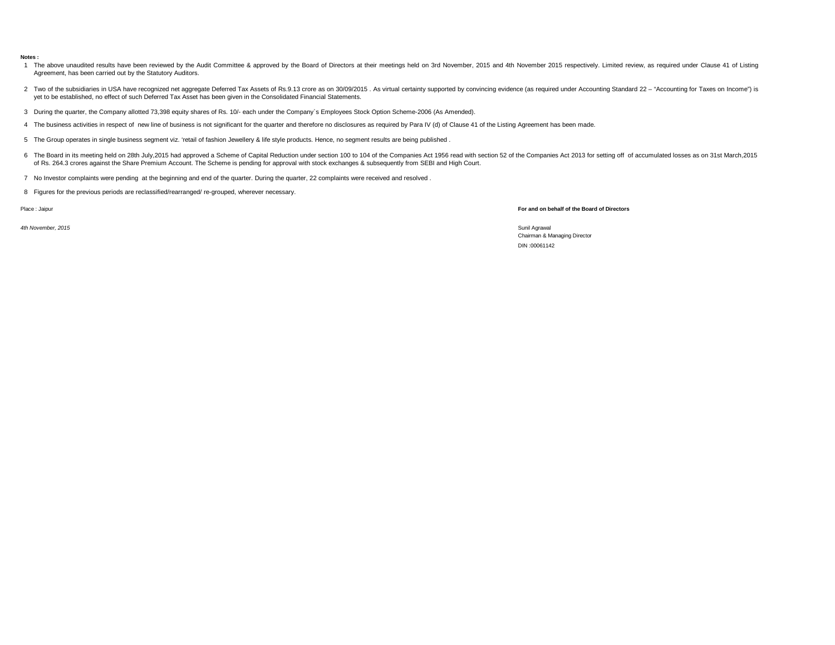## **Notes :**

- 1 The above unaudited results have been reviewed by the Audit Committee & approved by the Board of Directors at their meetings held on 3rd November, 2015 and 4th November 2015 respectively. Limited review, as required unde Agreement, has been carried out by the Statutory Auditors.
- 2 Two of the subsidiaries in USA have recognized net aggregate Deferred Tax Assets of Rs.9.13 crore as on 30/09/2015 . As virtual certainty supported by convincing evidence (as required under Accounting Standard 22 "Acco yet to be established, no effect of such Deferred Tax Asset has been given in the Consolidated Financial Statements.
- 3 During the quarter, the Company allotted 73,398 equity shares of Rs. 10/- each under the Company`s Employees Stock Option Scheme-2006 (As Amended).
- 4 The business activities in respect of new line of business is not significant for the quarter and therefore no disclosures as required by Para IV (d) of Clause 41 of the Listing Agreement has been made.
- 5 The Group operates in single business segment viz. 'retail of fashion Jewellery & life style products. Hence, no segment results are being published .
- 6 The Board in its meeting held on 28th July,2015 had approved a Scheme of Capital Reduction under section 100 to 104 of the Companies Act 1956 read with section 52 of the Companies Act 2013 for setting off of accumulated of Rs. 264.3 crores against the Share Premium Account. The Scheme is pending for approval with stock exchanges & subsequently from SEBI and High Court.
- 7 No Investor complaints were pending at the beginning and end of the quarter. During the quarter, 22 complaints were received and resolved .
- 8 Figures for the previous periods are reclassified/rearranged/ re-grouped, wherever necessary.

Place : Jaipur **For and on behalf of the Board of Directors**

*4th November, 2015* Sunil Agrawal

Chairman & Managing Director DIN :00061142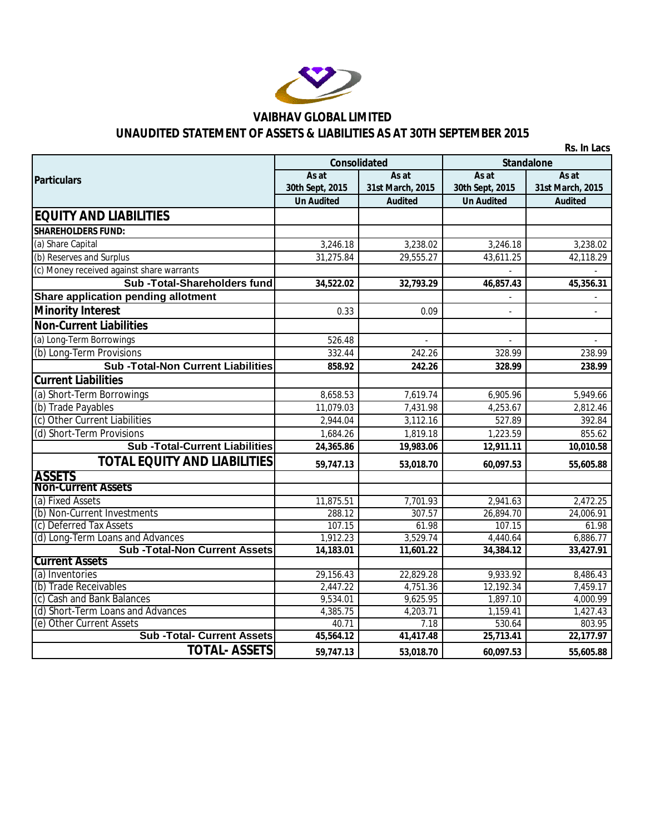

## **VAIBHAV GLOBAL LIMITED UNAUDITED STATEMENT OF ASSETS & LIABILITIES AS AT 30TH SEPTEMBER 2015**

|                                                              |                     |                  |                   | Rs. In Lacs      |  |  |
|--------------------------------------------------------------|---------------------|------------------|-------------------|------------------|--|--|
|                                                              | <b>Consolidated</b> |                  | <b>Standalone</b> |                  |  |  |
| <b>Particulars</b>                                           | As at               | As at            | As at             | As at            |  |  |
|                                                              | 30th Sept, 2015     | 31st March, 2015 | 30th Sept, 2015   | 31st March, 2015 |  |  |
|                                                              | <b>Un Audited</b>   | <b>Audited</b>   | <b>Un Audited</b> | <b>Audited</b>   |  |  |
| <b>EQUITY AND LIABILITIES</b>                                |                     |                  |                   |                  |  |  |
| <b>SHAREHOLDERS FUND:</b>                                    |                     |                  |                   |                  |  |  |
| (a) Share Capital                                            | 3,246.18            | 3,238.02         | 3,246.18          | 3,238.02         |  |  |
| (b) Reserves and Surplus                                     | 31,275.84           | 29,555.27        | 43,611.25         | 42,118.29        |  |  |
| (c) Money received against share warrants                    |                     |                  | $\overline{a}$    |                  |  |  |
| Sub-Total-Shareholders fund                                  | 34,522.02           | 32,793.29        | 46,857.43         | 45,356.31        |  |  |
| Share application pending allotment                          |                     |                  |                   |                  |  |  |
| <b>Minority Interest</b>                                     | 0.33                | 0.09             |                   |                  |  |  |
| <b>Non-Current Liabilities</b>                               |                     |                  |                   |                  |  |  |
| (a) Long-Term Borrowings                                     | 526.48              |                  | $\mathbf{r}$      |                  |  |  |
| (b) Long-Term Provisions                                     | 332.44              | 242.26           | 328.99            | 238.99           |  |  |
| <b>Sub-Total-Non Current Liabilities</b>                     | 858.92              | 242.26           | 328.99            | 238.99           |  |  |
| <b>Current Liabilities</b>                                   |                     |                  |                   |                  |  |  |
| (a) Short-Term Borrowings                                    | 8,658.53            | 7,619.74         | 6,905.96          | 5,949.66         |  |  |
| (b) Trade Payables                                           | 11,079.03           | 7,431.98         | 4,253.67          | 2,812.46         |  |  |
| (c) Other Current Liabilities                                | 2,944.04            | 3,112.16         | 527.89            | 392.84           |  |  |
| (d) Short-Term Provisions                                    | 1.684.26            | 1,819.18         | 1.223.59          | 855.62           |  |  |
| <b>Sub-Total-Current Liabilities</b>                         | 24,365.86           | 19,983.06        | 12,911.11         | 10,010.58        |  |  |
| <b>TOTAL EQUITY AND LIABILITIES</b>                          | 59,747.13           | 53,018.70        | 60,097.53         | 55,605.88        |  |  |
| <b>ASSETS</b>                                                |                     |                  |                   |                  |  |  |
| <b>Non-Current Assets</b>                                    |                     |                  |                   |                  |  |  |
| (a) Fixed Assets                                             | 11,875.51           | 7,701.93         | 2,941.63          | 2,472.25         |  |  |
| (b) Non-Current Investments                                  | 288.12              | 307.57           | 26,894.70         | 24,006.91        |  |  |
| (c) Deferred Tax Assets                                      | 107.15              | 61.98            | 107.15            | 61.98            |  |  |
| (d) Long-Term Loans and Advances                             | 1,912.23            | 3,529.74         | 4,440.64          | 6,886.77         |  |  |
| <b>Sub-Total-Non Current Assets</b><br><b>Current Assets</b> | 14,183.01           | 11,601.22        | 34,384.12         | 33,427.91        |  |  |
| (a) Inventories                                              | 29,156.43           | 22,829.28        | 9,933.92          | 8,486.43         |  |  |
| (b) Trade Receivables                                        | 2,447.22            | 4,751.36         | 12,192.34         | 7,459.17         |  |  |
| (c) Cash and Bank Balances                                   | 9,534.01            | 9,625.95         | 1,897.10          | 4,000.99         |  |  |
| (d) Short-Term Loans and Advances                            | 4,385.75            | 4,203.71         | 1,159.41          | 1,427.43         |  |  |
| (e) Other Current Assets                                     | 40.71               | 7.18             | 530.64            | 803.95           |  |  |
| <b>Sub-Total- Current Assets</b>                             | 45,564.12           | 41,417.48        | 25,713.41         | 22,177.97        |  |  |
| <b>TOTAL- ASSETS</b>                                         | 59,747.13           | 53,018.70        | 60,097.53         | 55,605.88        |  |  |